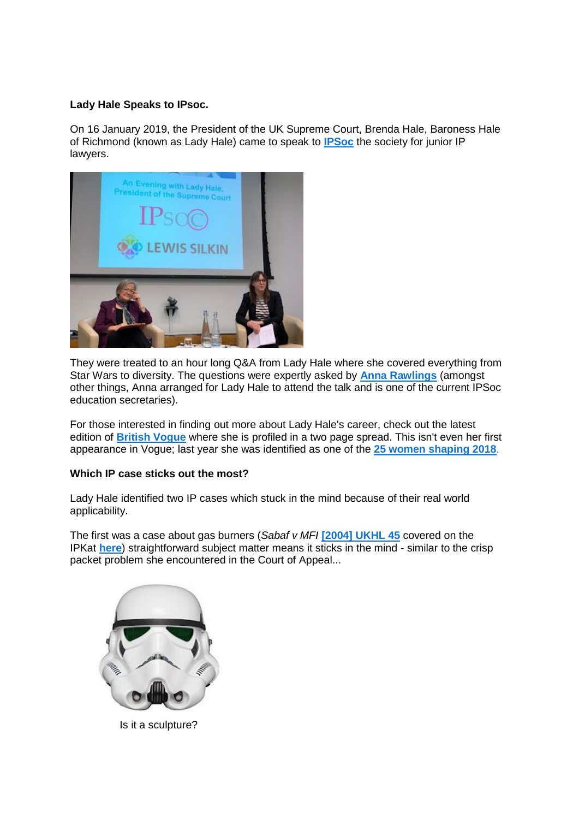# **Lady Hale Speaks to IPsoc.**

On 16 January 2019, the President of the UK Supreme Court, Brenda Hale, Baroness Hale of Richmond (known as Lady Hale) came to speak to **[IPSoc](https://www.ipsoc.org/)** the society for junior IP lawyers.



They were treated to an hour long Q&A from Lady Hale where she covered everything from Star Wars to diversity. The questions were expertly asked by **[Anna Rawlings](http://www.osborneclarke.com/lawyers/anna-rawlings/)** (amongst other things, Anna arranged for Lady Hale to attend the talk and is one of the current IPSoc education secretaries).

For those interested in finding out more about Lady Hale's career, check out the latest edition of **[British Vogue](https://www.vogue.co.uk/magazine)** where she is profiled in a two page spread. This isn't even her first appearance in Vogue; last year she was identified as one of the **[25 women shaping 2018](https://www.vogue.co.uk/article/vogue-25-the-women-shaping-2018)**.

## **Which IP case sticks out the most?**

Lady Hale identified two IP cases which stuck in the mind because of their real world applicability.

The first was a case about gas burners (*Sabaf v MFI* **[\[2004\] UKHL 45](https://www.bailii.org/uk/cases/UKHL/2004/45.html)** covered on the IPKat **[here](http://ipkitten.blogspot.com/2004/10/law-of-collocations-does-exist-after.html)**) straightforward subject matter means it sticks in the mind - similar to the crisp packet problem she encountered in the Court of Appeal...



Is it a sculpture?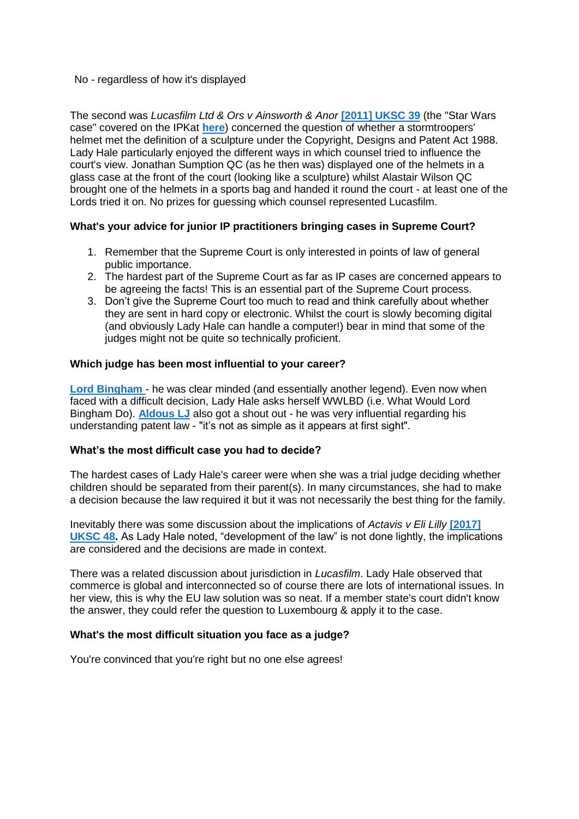#### No - regardless of how it's displayed

The second was *Lucasfilm Ltd & Ors v Ainsworth & Anor* **[\[2011\] UKSC 39](https://www.bailii.org/uk/cases/UKSC/2011/39.html)** (the "Star Wars case" covered on the IPKat **[here](http://ipkitten.blogspot.com/2011/07/to-boldly-go-supreme-court-ventures.html)**) concerned the question of whether a stormtroopers' helmet met the definition of a sculpture under the Copyright, Designs and Patent Act 1988. Lady Hale particularly enjoyed the different ways in which counsel tried to influence the court's view. Jonathan Sumption QC (as he then was) displayed one of the helmets in a glass case at the front of the court (looking like a sculpture) whilst Alastair Wilson QC brought one of the helmets in a sports bag and handed it round the court - at least one of the Lords tried it on. No prizes for guessing which counsel represented Lucasfilm.

## **What's your advice for junior IP practitioners bringing cases in Supreme Court?**

- 1. Remember that the Supreme Court is only interested in points of law of general public importance.
- 2. The hardest part of the Supreme Court as far as IP cases are concerned appears to be agreeing the facts! This is an essential part of the Supreme Court process.
- 3. Don't give the Supreme Court too much to read and think carefully about whether they are sent in hard copy or electronic. Whilst the court is slowly becoming digital (and obviously Lady Hale can handle a computer!) bear in mind that some of the judges might not be quite so technically proficient.

#### **Which judge has been most influential to your career?**

**[Lord Bingham](https://en.wikipedia.org/wiki/Tom_Bingham,_Baron_Bingham_of_Cornhill)** - he was clear minded (and essentially another legend). Even now when faced with a difficult decision, Lady Hale asks herself WWLBD (i.e. What Would Lord Bingham Do). **[Aldous LJ](https://en.wikipedia.org/wiki/William_Aldous)** also got a shout out - he was very influential regarding his understanding patent law - "it's not as simple as it appears at first sight".

#### **What's the most difficult case you had to decide?**

The hardest cases of Lady Hale's career were when she was a trial judge deciding whether children should be separated from their parent(s). In many circumstances, she had to make a decision because the law required it but it was not necessarily the best thing for the family.

Inevitably there was some discussion about the implications of *Actavis v Eli Lilly* **[\[2017\]](https://www.supremecourt.uk/cases/uksc-2016-0002.html)  [UKSC 48.](https://www.supremecourt.uk/cases/uksc-2016-0002.html)** As Lady Hale noted, "development of the law" is not done lightly, the implications are considered and the decisions are made in context.

There was a related discussion about jurisdiction in *Lucasfilm*. Lady Hale observed that commerce is global and interconnected so of course there are lots of international issues. In her view, this is why the EU law solution was so neat. If a member state's court didn't know the answer, they could refer the question to Luxembourg & apply it to the case.

## **What's the most difficult situation you face as a judge?**

You're convinced that you're right but no one else agrees!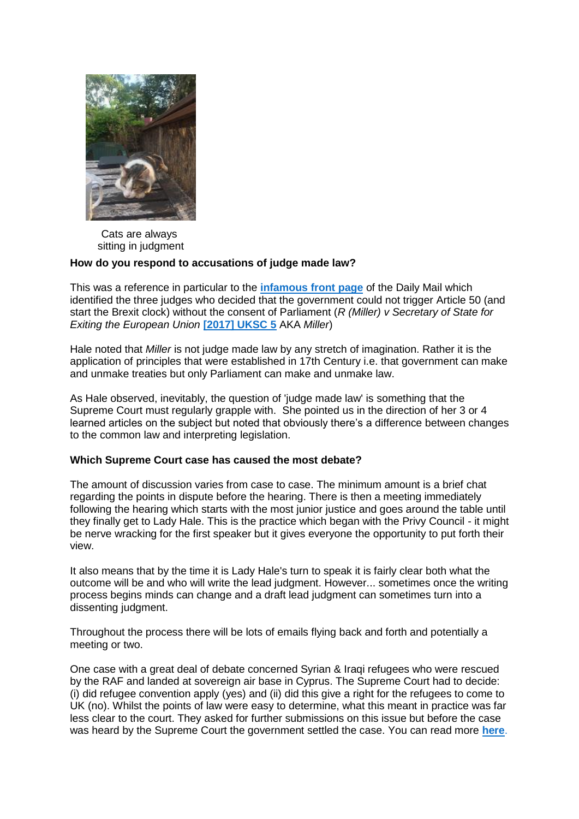

Cats are always sitting in judgment

# **How do you respond to accusations of judge made law?**

This was a reference in particular to the **[infamous front page](https://en.wikipedia.org/wiki/Enemies_of_the_People_(headline))** of the Daily Mail which identified the three judges who decided that the government could not trigger Article 50 (and start the Brexit clock) without the consent of Parliament (*R (Miller) v Secretary of State for Exiting the European Union* **[\[2017\] UKSC 5](https://www.bailii.org/uk/cases/UKSC/2017/5.html)** AKA *Miller*)

Hale noted that *Miller* is not judge made law by any stretch of imagination. Rather it is the application of principles that were established in 17th Century i.e. that government can make and unmake treaties but only Parliament can make and unmake law.

As Hale observed, inevitably, the question of 'judge made law' is something that the Supreme Court must regularly grapple with. She pointed us in the direction of her 3 or 4 learned articles on the subject but noted that obviously there's a difference between changes to the common law and interpreting legislation.

## **Which Supreme Court case has caused the most debate?**

The amount of discussion varies from case to case. The minimum amount is a brief chat regarding the points in dispute before the hearing. There is then a meeting immediately following the hearing which starts with the most junior justice and goes around the table until they finally get to Lady Hale. This is the practice which began with the Privy Council - it might be nerve wracking for the first speaker but it gives everyone the opportunity to put forth their view.

It also means that by the time it is Lady Hale's turn to speak it is fairly clear both what the outcome will be and who will write the lead judgment. However... sometimes once the writing process begins minds can change and a draft lead judgment can sometimes turn into a dissenting judgment.

Throughout the process there will be lots of emails flying back and forth and potentially a meeting or two.

One case with a great deal of debate concerned Syrian & Iraqi refugees who were rescued by the RAF and landed at sovereign air base in Cyprus. The Supreme Court had to decide: (i) did refugee convention apply (yes) and (ii) did this give a right for the refugees to come to UK (no). Whilst the points of law were easy to determine, what this meant in practice was far less clear to the court. They asked for further submissions on this issue but before the case was heard by the Supreme Court the government settled the case. You can read more **[here](https://www.independent.co.uk/news/uk/home-news/refugees-enter-uk-stranded-army-base-cyprus-20-years-dhekelia-akrotiri-a8665931.html)**.